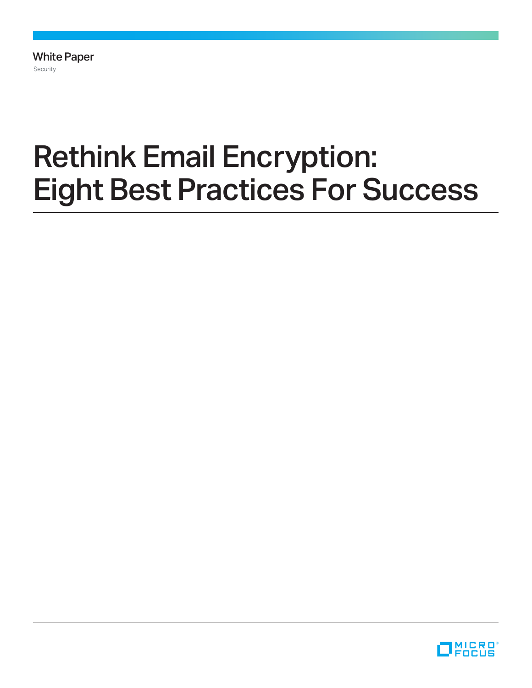White Paper Security

# Rethink Email Encryption: Eight Best Practices For Success

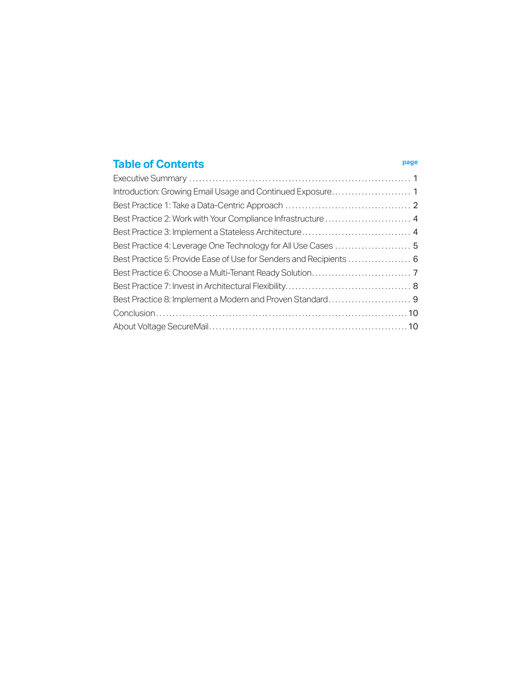#### **Table of Contents page**

| Best Practice 2: Work with Your Compliance Infrastructure  4       |  |
|--------------------------------------------------------------------|--|
|                                                                    |  |
|                                                                    |  |
| Best Practice 5: Provide Ease of Use for Senders and Recipients  6 |  |
|                                                                    |  |
|                                                                    |  |
|                                                                    |  |
|                                                                    |  |
|                                                                    |  |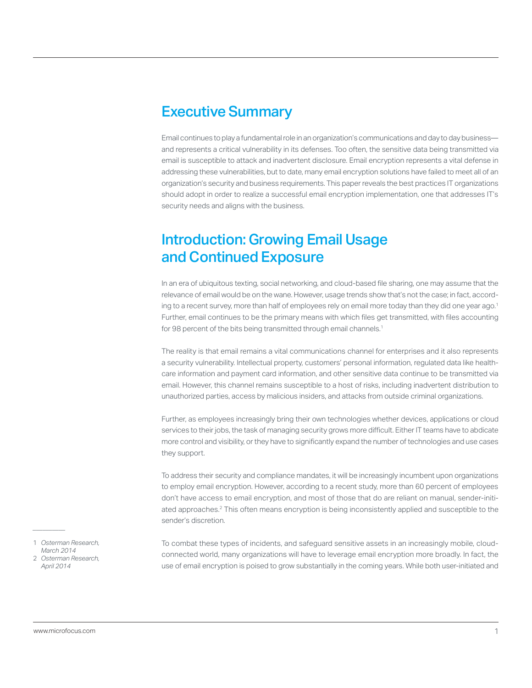#### <span id="page-2-0"></span>Executive Summary

Email continues to play a fundamental role in an organization's communications and day to day business and represents a critical vulnerability in its defenses. Too often, the sensitive data being transmitted via email is susceptible to attack and inadvertent disclosure. Email encryption represents a vital defense in addressing these vulnerabilities, but to date, many email encryption solutions have failed to meet all of an organization's security and business requirements. This paper reveals the best practices IT organizations should adopt in order to realize a successful email encryption implementation, one that addresses IT's security needs and aligns with the business.

#### Introduction: Growing Email Usage and Continued Exposure

In an era of ubiquitous texting, social networking, and cloud-based file sharing, one may assume that the relevance of email would be on the wane. However, usage trends show that's not the case; in fact, according to a recent survey, more than half of employees rely on email more today than they did one year ago. 1 Further, email continues to be the primary means with which files get transmitted, with files accounting for 98 percent of the bits being transmitted through email channels.<sup>1</sup>

The reality is that email remains a vital communications channel for enterprises and it also represents a security vulnerability. Intellectual property, customers' personal information, regulated data like healthcare information and payment card information, and other sensitive data continue to be transmitted via email. However, this channel remains susceptible to a host of risks, including inadvertent distribution to unauthorized parties, access by malicious insiders, and attacks from outside criminal organizations.

Further, as employees increasingly bring their own technologies whether devices, applications or cloud services to their jobs, the task of managing security grows more difficult. Either IT teams have to abdicate more control and visibility, or they have to significantly expand the number of technologies and use cases they support.

To address their security and compliance mandates, it will be increasingly incumbent upon organizations to employ email encryption. However, according to a recent study, more than 60 percent of employees don't have access to email encryption, and most of those that do are reliant on manual, sender-initiated approaches. 2 This often means encryption is being inconsistently applied and susceptible to the sender's discretion.

To combat these types of incidents, and safeguard sensitive assets in an increasingly mobile, cloudconnected world, many organizations will have to leverage email encryption more broadly. In fact, the use of email encryption is poised to grow substantially in the coming years. While both user-initiated and

1 *Osterman Research, March 2014* 2 *Osterman Research, April 2014*

*\_\_\_\_\_\_\_\_\_\_*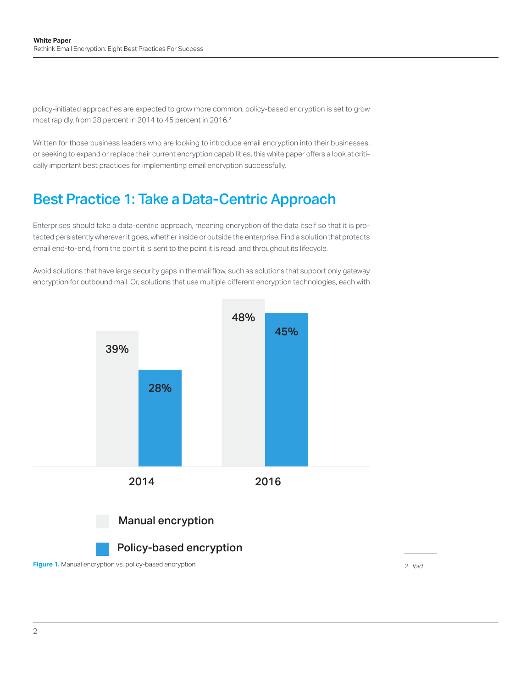<span id="page-3-0"></span>policy-initiated approaches are expected to grow more common, policy-based encryption is set to grow most rapidly, from 28 percent in 2014 to 45 percent in 2016. 2

Written for those business leaders who are looking to introduce email encryption into their businesses, or seeking to expand or replace their current encryption capabilities, this white paper offers a look at critically important best practices for implementing email encryption successfully.

#### Best Practice 1: Take a Data-Centric Approach

Enterprises should take a data-centric approach, meaning encryption of the data itself so that it is protected persistently wherever it goes, whether inside or outside the enterprise. Find a solution that protects email end-to-end, from the point it is sent to the point it is read, and throughout its lifecycle.

Avoid solutions that have large security gaps in the mail flow, such as solutions that support only gateway encryption for outbound mail. Or, solutions that use multiple different encryption technologies, each with



*\_\_\_\_\_\_\_\_\_\_* 2 *Ibid*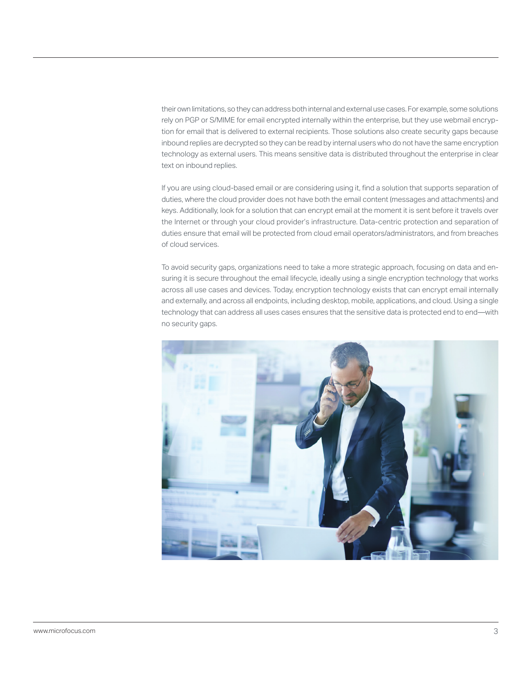their own limitations, so they can address both internal and external use cases. For example, some solutions rely on PGP or S/MIME for email encrypted internally within the enterprise, but they use webmail encryption for email that is delivered to external recipients. Those solutions also create security gaps because inbound replies are decrypted so they can be read by internal users who do not have the same encryption technology as external users. This means sensitive data is distributed throughout the enterprise in clear text on inbound replies.

If you are using cloud-based email or are considering using it, find a solution that supports separation of duties, where the cloud provider does not have both the email content (messages and attachments) and keys. Additionally, look for a solution that can encrypt email at the moment it is sent before it travels over the Internet or through your cloud provider's infrastructure. Data-centric protection and separation of duties ensure that email will be protected from cloud email operators/administrators, and from breaches of cloud services.

To avoid security gaps, organizations need to take a more strategic approach, focusing on data and ensuring it is secure throughout the email lifecycle, ideally using a single encryption technology that works across all use cases and devices. Today, encryption technology exists that can encrypt email internally and externally, and across all endpoints, including desktop, mobile, applications, and cloud. Using a single technology that can address all uses cases ensures that the sensitive data is protected end to end—with no security gaps.

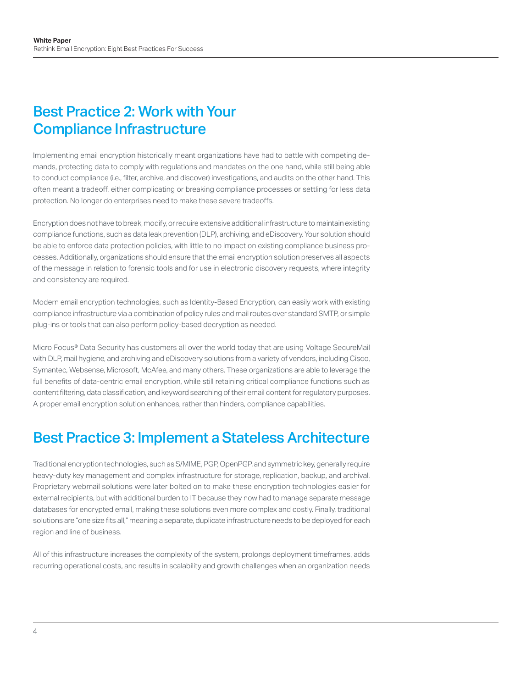### <span id="page-5-0"></span>Best Practice 2: Work with Your Compliance Infrastructure

Implementing email encryption historically meant organizations have had to battle with competing demands, protecting data to comply with regulations and mandates on the one hand, while still being able to conduct compliance (i.e., filter, archive, and discover) investigations, and audits on the other hand. This often meant a tradeoff, either complicating or breaking compliance processes or settling for less data protection. No longer do enterprises need to make these severe tradeoffs.

Encryption does not have to break, modify, or require extensive additional infrastructure to maintain existing compliance functions, such as data leak prevention (DLP), archiving, and eDiscovery. Your solution should be able to enforce data protection policies, with little to no impact on existing compliance business processes. Additionally, organizations should ensure that the email encryption solution preserves all aspects of the message in relation to forensic tools and for use in electronic discovery requests, where integrity and consistency are required.

Modern email encryption technologies, such as Identity-Based Encryption, can easily work with existing compliance infrastructure via a combination of policy rules and mail routes over standard SMTP, or simple plug-ins or tools that can also perform policy-based decryption as needed.

Micro Focus® Data Security has customers all over the world today that are using Voltage SecureMail with DLP, mail hygiene, and archiving and eDiscovery solutions from a variety of vendors, including Cisco, Symantec, Websense, Microsoft, McAfee, and many others. These organizations are able to leverage the full benefits of data-centric email encryption, while still retaining critical compliance functions such as content filtering, data classification, and keyword searching of their email content for regulatory purposes. A proper email encryption solution enhances, rather than hinders, compliance capabilities.

#### Best Practice 3: Implement a Stateless Architecture

Traditional encryption technologies, such as S/MIME, PGP, OpenPGP, and symmetric key, generally require heavy-duty key management and complex infrastructure for storage, replication, backup, and archival. Proprietary webmail solutions were later bolted on to make these encryption technologies easier for external recipients, but with additional burden to IT because they now had to manage separate message databases for encrypted email, making these solutions even more complex and costly. Finally, traditional solutions are "one size fits all," meaning a separate, duplicate infrastructure needs to be deployed for each region and line of business.

All of this infrastructure increases the complexity of the system, prolongs deployment timeframes, adds recurring operational costs, and results in scalability and growth challenges when an organization needs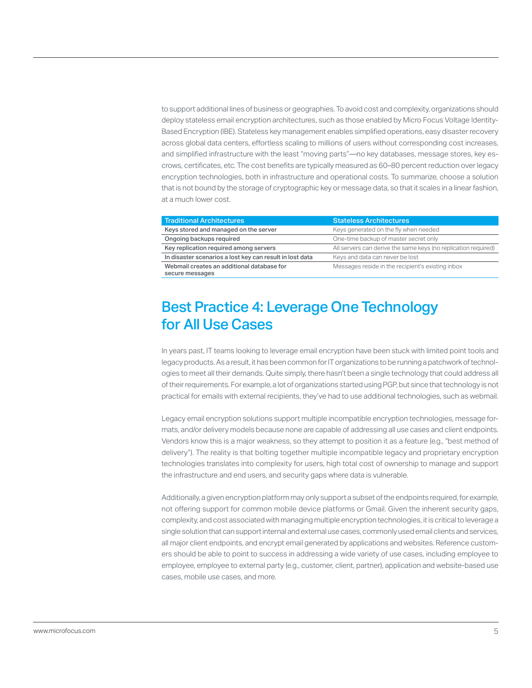<span id="page-6-0"></span>to support additional lines of business or geographies. To avoid cost and complexity, organizations should deploy stateless email encryption architectures, such as those enabled by Micro Focus Voltage Identity-Based Encryption (IBE). Stateless key management enables simplified operations, easy disaster recovery across global data centers, effortless scaling to millions of users without corresponding cost increases, and simplified infrastructure with the least "moving parts"—no key databases, message stores, key escrows, certificates, etc. The cost benefits are typically measured as 60–80 percent reduction over legacy encryption technologies, both in infrastructure and operational costs. To summarize, choose a solution that is not bound by the storage of cryptographic key or message data, so that it scales in a linear fashion, at a much lower cost.

| <b>Traditional Architectures</b>                              | <b>Stateless Architectures</b>                                 |
|---------------------------------------------------------------|----------------------------------------------------------------|
| Keys stored and managed on the server                         | Keys generated on the fly when needed                          |
| Ongoing backups required                                      | One-time backup of master secret only                          |
| Key replication required among servers                        | All servers can derive the same keys (no replication required) |
| In disaster scenarios a lost key can result in lost data      | Keys and data can never be lost                                |
| Webmail creates an additional database for<br>secure messages | Messages reside in the recipient's existing inbox              |

#### Best Practice 4: Leverage One Technology for All Use Cases

In years past, IT teams looking to leverage email encryption have been stuck with limited point tools and legacy products. As a result, it has been common for IT organizations to be running a patchwork of technologies to meet all their demands. Quite simply, there hasn't been a single technology that could address all of their requirements. For example, a lot of organizations started using PGP, but since that technology is not practical for emails with external recipients, they've had to use additional technologies, such as webmail.

Legacy email encryption solutions support multiple incompatible encryption technologies, message formats, and/or delivery models because none are capable of addressing all use cases and client endpoints. Vendors know this is a major weakness, so they attempt to position it as a feature (e.g., "best method of delivery"). The reality is that bolting together multiple incompatible legacy and proprietary encryption technologies translates into complexity for users, high total cost of ownership to manage and support the infrastructure and end users, and security gaps where data is vulnerable.

Additionally, a given encryption platform may only support a subset of the endpoints required, for example, not offering support for common mobile device platforms or Gmail. Given the inherent security gaps, complexity, and cost associated with managing multiple encryption technologies, it is critical to leverage a single solution that can support internal and external use cases, commonly used email clients and services, all major client endpoints, and encrypt email generated by applications and websites. Reference customers should be able to point to success in addressing a wide variety of use cases, including employee to employee, employee to external party (e.g., customer, client, partner), application and website-based use cases, mobile use cases, and more.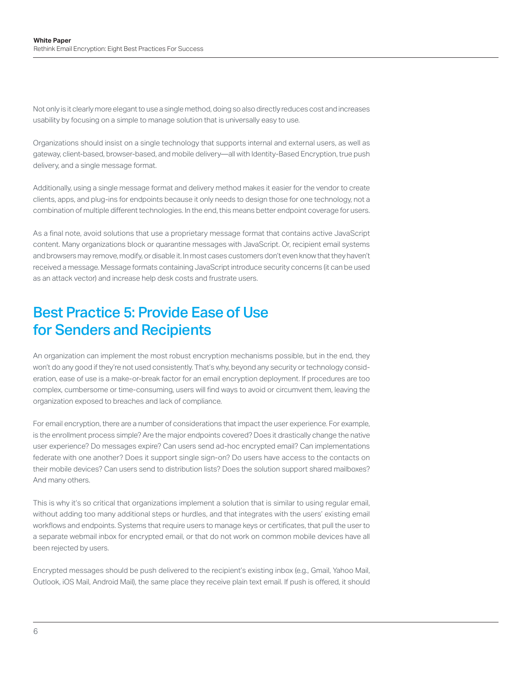<span id="page-7-0"></span>Not only is it clearly more elegant to use a single method, doing so also directly reduces cost and increases usability by focusing on a simple to manage solution that is universally easy to use.

Organizations should insist on a single technology that supports internal and external users, as well as gateway, client-based, browser-based, and mobile delivery—all with Identity-Based Encryption, true push delivery, and a single message format.

Additionally, using a single message format and delivery method makes it easier for the vendor to create clients, apps, and plug-ins for endpoints because it only needs to design those for one technology, not a combination of multiple different technologies. In the end, this means better endpoint coverage for users.

As a final note, avoid solutions that use a proprietary message format that contains active JavaScript content. Many organizations block or quarantine messages with JavaScript. Or, recipient email systems and browsers may remove, modify, or disable it. In most cases customers don't even know that they haven't received a message. Message formats containing JavaScript introduce security concerns (it can be used as an attack vector) and increase help desk costs and frustrate users.

#### Best Practice 5: Provide Ease of Use for Senders and Recipients

An organization can implement the most robust encryption mechanisms possible, but in the end, they won't do any good if they're not used consistently. That's why, beyond any security or technology consideration, ease of use is a make-or-break factor for an email encryption deployment. If procedures are too complex, cumbersome or time-consuming, users will find ways to avoid or circumvent them, leaving the organization exposed to breaches and lack of compliance.

For email encryption, there are a number of considerations that impact the user experience. For example, is the enrollment process simple? Are the major endpoints covered? Does it drastically change the native user experience? Do messages expire? Can users send ad-hoc encrypted email? Can implementations federate with one another? Does it support single sign-on? Do users have access to the contacts on their mobile devices? Can users send to distribution lists? Does the solution support shared mailboxes? And many others.

This is why it's so critical that organizations implement a solution that is similar to using regular email, without adding too many additional steps or hurdles, and that integrates with the users' existing email workflows and endpoints. Systems that require users to manage keys or certificates, that pull the user to a separate webmail inbox for encrypted email, or that do not work on common mobile devices have all been rejected by users.

Encrypted messages should be push delivered to the recipient's existing inbox (e.g., Gmail, Yahoo Mail, Outlook, iOS Mail, Android Mail), the same place they receive plain text email. If push is offered, it should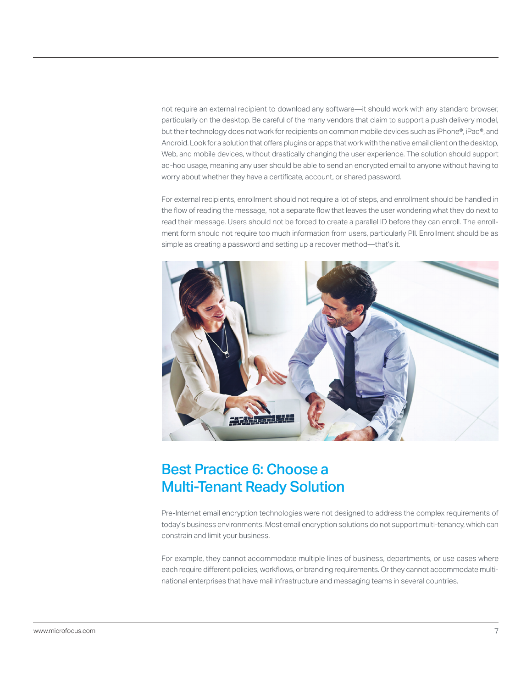<span id="page-8-0"></span>not require an external recipient to download any software—it should work with any standard browser, particularly on the desktop. Be careful of the many vendors that claim to support a push delivery model, but their technology does not work for recipients on common mobile devices such as iPhone®, iPad®, and Android. Look for a solution that offers plugins or apps that work with the native email client on the desktop, Web, and mobile devices, without drastically changing the user experience. The solution should support ad-hoc usage, meaning any user should be able to send an encrypted email to anyone without having to worry about whether they have a certificate, account, or shared password.

For external recipients, enrollment should not require a lot of steps, and enrollment should be handled in the flow of reading the message, not a separate flow that leaves the user wondering what they do next to read their message. Users should not be forced to create a parallel ID before they can enroll. The enrollment form should not require too much information from users, particularly PII. Enrollment should be as simple as creating a password and setting up a recover method—that's it.



#### Best Practice 6: Choose a Multi-Tenant Ready Solution

Pre-Internet email encryption technologies were not designed to address the complex requirements of today's business environments. Most email encryption solutions do not support multi-tenancy, which can constrain and limit your business.

For example, they cannot accommodate multiple lines of business, departments, or use cases where each require different policies, workflows, or branding requirements. Or they cannot accommodate multinational enterprises that have mail infrastructure and messaging teams in several countries.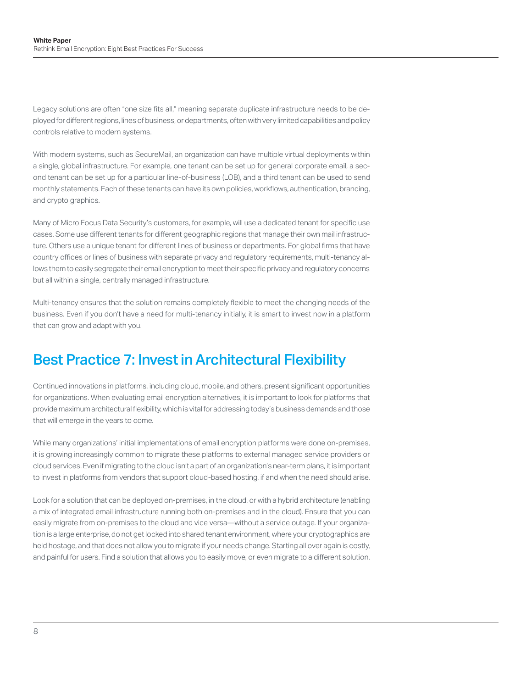<span id="page-9-0"></span>Legacy solutions are often "one size fits all," meaning separate duplicate infrastructure needs to be deployed for different regions, lines of business, or departments, often with very limited capabilities and policy controls relative to modern systems.

With modern systems, such as SecureMail, an organization can have multiple virtual deployments within a single, global infrastructure. For example, one tenant can be set up for general corporate email, a second tenant can be set up for a particular line-of-business (LOB), and a third tenant can be used to send monthly statements. Each of these tenants can have its own policies, workflows, authentication, branding, and crypto graphics.

Many of Micro Focus Data Security's customers, for example, will use a dedicated tenant for specific use cases. Some use different tenants for different geographic regions that manage their own mail infrastructure. Others use a unique tenant for different lines of business or departments. For global firms that have country offices or lines of business with separate privacy and regulatory requirements, multi-tenancy allows them to easily segregate their email encryption to meet their specific privacy and regulatory concerns but all within a single, centrally managed infrastructure.

Multi-tenancy ensures that the solution remains completely flexible to meet the changing needs of the business. Even if you don't have a need for multi-tenancy initially, it is smart to invest now in a platform that can grow and adapt with you.

#### Best Practice 7: Invest in Architectural Flexibility

Continued innovations in platforms, including cloud, mobile, and others, present significant opportunities for organizations. When evaluating email encryption alternatives, it is important to look for platforms that provide maximum architectural flexibility, which is vital for addressing today's business demands and those that will emerge in the years to come.

While many organizations' initial implementations of email encryption platforms were done on-premises, it is growing increasingly common to migrate these platforms to external managed service providers or cloud services. Even if migrating to the cloud isn't a part of an organization's near-term plans, it is important to invest in platforms from vendors that support cloud-based hosting, if and when the need should arise.

Look for a solution that can be deployed on-premises, in the cloud, or with a hybrid architecture (enabling a mix of integrated email infrastructure running both on-premises and in the cloud). Ensure that you can easily migrate from on-premises to the cloud and vice versa—without a service outage. If your organization is a large enterprise, do not get locked into shared tenant environment, where your cryptographics are held hostage, and that does not allow you to migrate if your needs change. Starting all over again is costly, and painful for users. Find a solution that allows you to easily move, or even migrate to a different solution.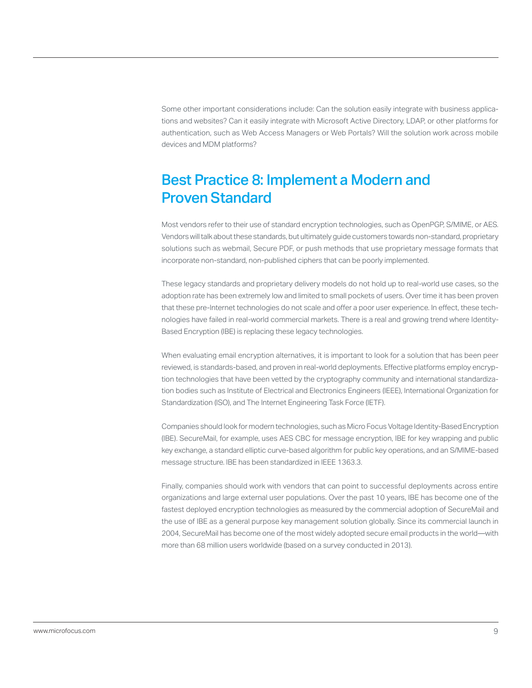<span id="page-10-0"></span>Some other important considerations include: Can the solution easily integrate with business applications and websites? Can it easily integrate with Microsoft Active Directory, LDAP, or other platforms for authentication, such as Web Access Managers or Web Portals? Will the solution work across mobile devices and MDM platforms?

#### Best Practice 8: Implement a Modern and Proven Standard

Most vendors refer to their use of standard encryption technologies, such as OpenPGP, S/MIME, or AES. Vendors will talk about these standards, but ultimately guide customers towards non-standard, proprietary solutions such as webmail, Secure PDF, or push methods that use proprietary message formats that incorporate non-standard, non-published ciphers that can be poorly implemented.

These legacy standards and proprietary delivery models do not hold up to real-world use cases, so the adoption rate has been extremely low and limited to small pockets of users. Over time it has been proven that these pre-Internet technologies do not scale and offer a poor user experience. In effect, these technologies have failed in real-world commercial markets. There is a real and growing trend where Identity-Based Encryption (IBE) is replacing these legacy technologies.

When evaluating email encryption alternatives, it is important to look for a solution that has been peer reviewed, is standards-based, and proven in real-world deployments. Effective platforms employ encryption technologies that have been vetted by the cryptography community and international standardization bodies such as Institute of Electrical and Electronics Engineers (IEEE), International Organization for Standardization (ISO), and The Internet Engineering Task Force (IETF).

Companies should look for modern technologies, such as Micro Focus Voltage Identity-Based Encryption (IBE). SecureMail, for example, uses AES CBC for message encryption, IBE for key wrapping and public key exchange, a standard elliptic curve-based algorithm for public key operations, and an S/MIME-based message structure. IBE has been standardized in IEEE 1363.3.

Finally, companies should work with vendors that can point to successful deployments across entire organizations and large external user populations. Over the past 10 years, IBE has become one of the fastest deployed encryption technologies as measured by the commercial adoption of SecureMail and the use of IBE as a general purpose key management solution globally. Since its commercial launch in 2004, SecureMail has become one of the most widely adopted secure email products in the world—with more than 68 million users worldwide (based on a survey conducted in 2013).